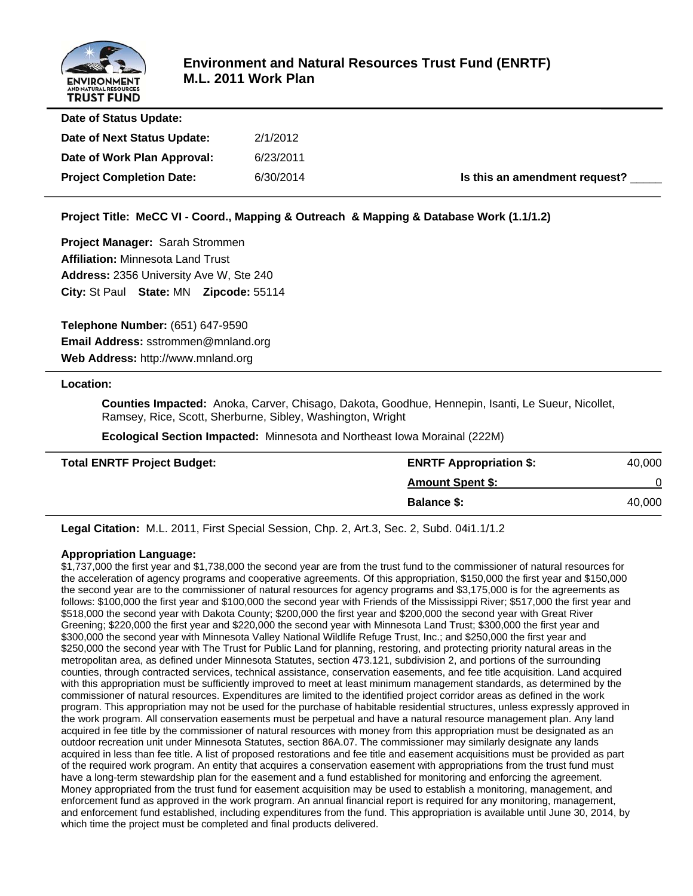

| Date of Status Update:          |           |                               |
|---------------------------------|-----------|-------------------------------|
| Date of Next Status Update:     | 2/1/2012  |                               |
| Date of Work Plan Approval:     | 6/23/2011 |                               |
| <b>Project Completion Date:</b> | 6/30/2014 | Is this an amendment request? |
|                                 |           |                               |

**Project Title: MeCC VI - Coord., Mapping & Outreach & Mapping & Database Work (1.1/1.2)**

**Project Manager:** Sarah Strommen **Affiliation:** Minnesota Land Trust **Address:** 2356 University Ave W, Ste 240 **City:** St Paul **State:** MN **Zipcode:** 55114

**Telephone Number:** (651) 647-9590 **Email Address:** sstrommen@mnland.org **Web Address:** http://www.mnland.org

#### **Location:**

 **Counties Impacted:** Anoka, Carver, Chisago, Dakota, Goodhue, Hennepin, Isanti, Le Sueur, Nicollet, Ramsey, Rice, Scott, Sherburne, Sibley, Washington, Wright

 **Ecological Section Impacted:** Minnesota and Northeast Iowa Morainal (222M)

| <b>Total ENRTF Project Budget:</b> | <b>ENRTF Appropriation \$:</b> | 40,000 |
|------------------------------------|--------------------------------|--------|
|                                    | <b>Amount Spent \$:</b>        |        |
|                                    | <b>Balance \$:</b>             | 40,000 |

**Legal Citation:** M.L. 2011, First Special Session, Chp. 2, Art.3, Sec. 2, Subd. 04i1.1/1.2

#### **Appropriation Language:**

\$1,737,000 the first year and \$1,738,000 the second year are from the trust fund to the commissioner of natural resources for the acceleration of agency programs and cooperative agreements. Of this appropriation, \$150,000 the first year and \$150,000 the second year are to the commissioner of natural resources for agency programs and \$3,175,000 is for the agreements as follows: \$100,000 the first year and \$100,000 the second year with Friends of the Mississippi River; \$517,000 the first year and \$518,000 the second year with Dakota County; \$200,000 the first year and \$200,000 the second year with Great River Greening; \$220,000 the first year and \$220,000 the second year with Minnesota Land Trust; \$300,000 the first year and \$300,000 the second year with Minnesota Valley National Wildlife Refuge Trust, Inc.; and \$250,000 the first year and \$250,000 the second year with The Trust for Public Land for planning, restoring, and protecting priority natural areas in the metropolitan area, as defined under Minnesota Statutes, section 473.121, subdivision 2, and portions of the surrounding counties, through contracted services, technical assistance, conservation easements, and fee title acquisition. Land acquired with this appropriation must be sufficiently improved to meet at least minimum management standards, as determined by the commissioner of natural resources. Expenditures are limited to the identified project corridor areas as defined in the work program. This appropriation may not be used for the purchase of habitable residential structures, unless expressly approved in the work program. All conservation easements must be perpetual and have a natural resource management plan. Any land acquired in fee title by the commissioner of natural resources with money from this appropriation must be designated as an outdoor recreation unit under Minnesota Statutes, section 86A.07. The commissioner may similarly designate any lands acquired in less than fee title. A list of proposed restorations and fee title and easement acquisitions must be provided as part of the required work program. An entity that acquires a conservation easement with appropriations from the trust fund must have a long-term stewardship plan for the easement and a fund established for monitoring and enforcing the agreement. Money appropriated from the trust fund for easement acquisition may be used to establish a monitoring, management, and enforcement fund as approved in the work program. An annual financial report is required for any monitoring, management, and enforcement fund established, including expenditures from the fund. This appropriation is available until June 30, 2014, by which time the project must be completed and final products delivered.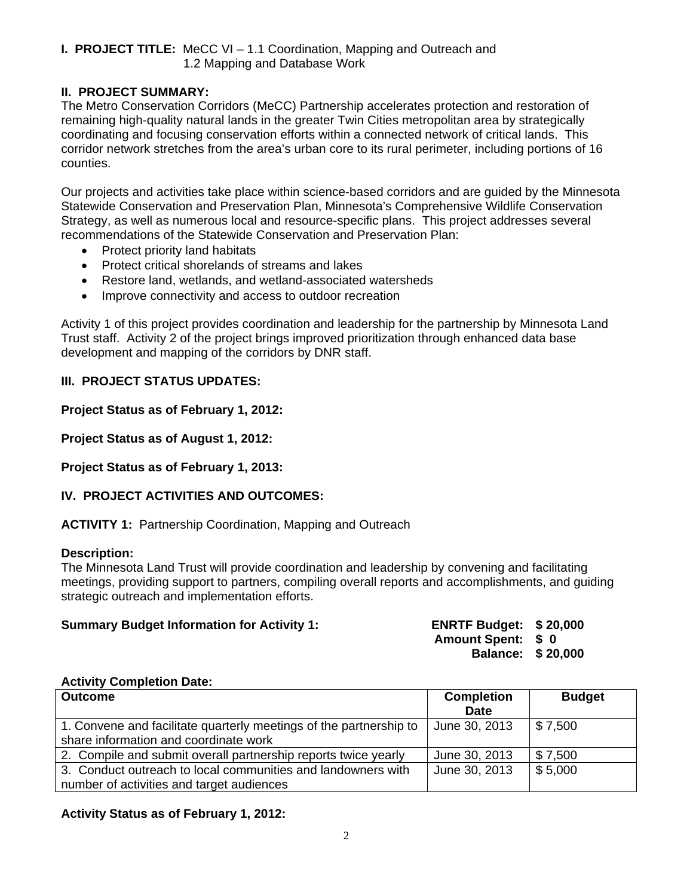# **I. PROJECT TITLE:** MeCC VI – 1.1 Coordination, Mapping and Outreach and 1.2 Mapping and Database Work

# **II. PROJECT SUMMARY:**

The Metro Conservation Corridors (MeCC) Partnership accelerates protection and restoration of remaining high-quality natural lands in the greater Twin Cities metropolitan area by strategically coordinating and focusing conservation efforts within a connected network of critical lands. This corridor network stretches from the area's urban core to its rural perimeter, including portions of 16 counties.

Our projects and activities take place within science-based corridors and are guided by the Minnesota Statewide Conservation and Preservation Plan, Minnesota's Comprehensive Wildlife Conservation Strategy, as well as numerous local and resource-specific plans. This project addresses several recommendations of the Statewide Conservation and Preservation Plan:

- Protect priority land habitats
- Protect critical shorelands of streams and lakes
- Restore land, wetlands, and wetland-associated watersheds
- Improve connectivity and access to outdoor recreation

Activity 1 of this project provides coordination and leadership for the partnership by Minnesota Land Trust staff. Activity 2 of the project brings improved prioritization through enhanced data base development and mapping of the corridors by DNR staff.

# **III. PROJECT STATUS UPDATES:**

## **Project Status as of February 1, 2012:**

**Project Status as of August 1, 2012:**

**Project Status as of February 1, 2013:**

# **IV. PROJECT ACTIVITIES AND OUTCOMES:**

**ACTIVITY 1:** Partnership Coordination, Mapping and Outreach

## **Description:**

The Minnesota Land Trust will provide coordination and leadership by convening and facilitating meetings, providing support to partners, compiling overall reports and accomplishments, and guiding strategic outreach and implementation efforts.

| <b>Summary Budget Information for Activity 1:</b> | <b>ENRTF Budget: \$20,000</b> |  |
|---------------------------------------------------|-------------------------------|--|
|                                                   |                               |  |

**Amount Spent: \$ 0** 

**Balance: \$ 20,000** 

#### **Activity Completion Date:**

| <b>Outcome</b>                                                     | <b>Completion</b> | <b>Budget</b>          |
|--------------------------------------------------------------------|-------------------|------------------------|
|                                                                    | <b>Date</b>       |                        |
| 1. Convene and facilitate quarterly meetings of the partnership to | June 30, 2013     | $\frac{1}{2}$ \$ 7,500 |
| share information and coordinate work                              |                   |                        |
| 2. Compile and submit overall partnership reports twice yearly     | June 30, 2013     | \$7,500                |
| 3. Conduct outreach to local communities and landowners with       | June 30, 2013     | \$5,000                |
| number of activities and target audiences                          |                   |                        |

## **Activity Status as of February 1, 2012:**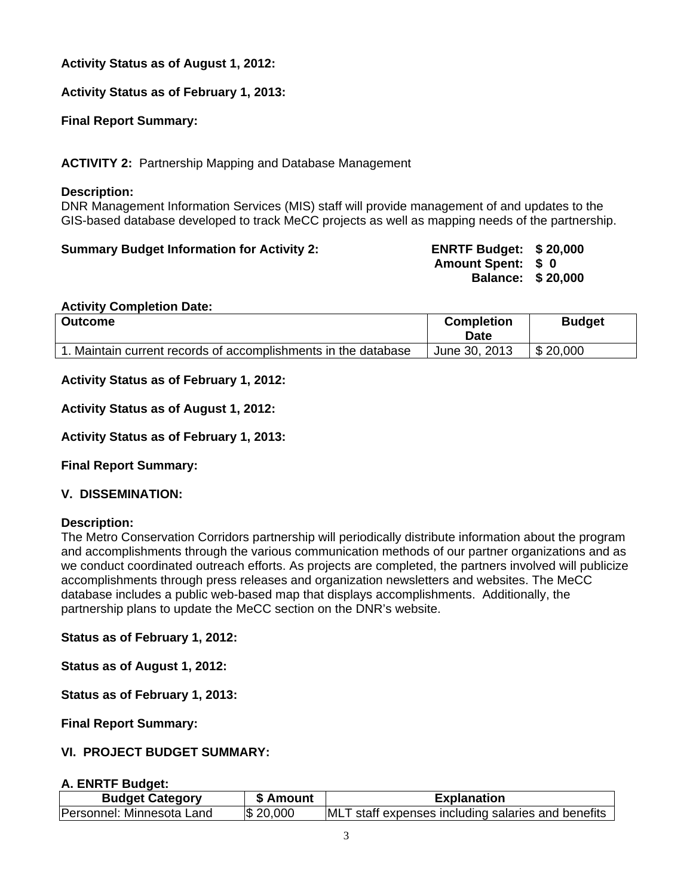# **Activity Status as of August 1, 2012:**

**Activity Status as of February 1, 2013:**

**Final Report Summary:**

**ACTIVITY 2:** Partnership Mapping and Database Management

#### **Description:**

DNR Management Information Services (MIS) staff will provide management of and updates to the GIS-based database developed to track MeCC projects as well as mapping needs of the partnership.

# **Summary Budget Information for Activity 2: ENRTF Budget: \$ 20,000**

**Amount Spent: \$ 0 Balance: \$ 20,000** 

#### **Activity Completion Date:**

| <b>Outcome</b>                                              | <b>Completion</b><br>Date | <b>Budget</b> |
|-------------------------------------------------------------|---------------------------|---------------|
| Maintain current records of accomplishments in the database | June 30, 2013             | \$20,000      |

**Activity Status as of February 1, 2012:**

**Activity Status as of August 1, 2012:**

**Activity Status as of February 1, 2013:**

**Final Report Summary:**

## **V. DISSEMINATION:**

## **Description:**

The Metro Conservation Corridors partnership will periodically distribute information about the program and accomplishments through the various communication methods of our partner organizations and as we conduct coordinated outreach efforts. As projects are completed, the partners involved will publicize accomplishments through press releases and organization newsletters and websites. The MeCC database includes a public web-based map that displays accomplishments. Additionally, the partnership plans to update the MeCC section on the DNR's website.

**Status as of February 1, 2012:** 

**Status as of August 1, 2012:**

**Status as of February 1, 2013:**

**Final Report Summary:**

## **VI. PROJECT BUDGET SUMMARY:**

## **A. ENRTF Budget:**

| <b>Budget Category</b>    | \$ Amount       | <b>Explanation</b>                                 |  |  |  |  |
|---------------------------|-----------------|----------------------------------------------------|--|--|--|--|
| Personnel: Minnesota Land | <b>S</b> 20,000 | MLT staff expenses including salaries and benefits |  |  |  |  |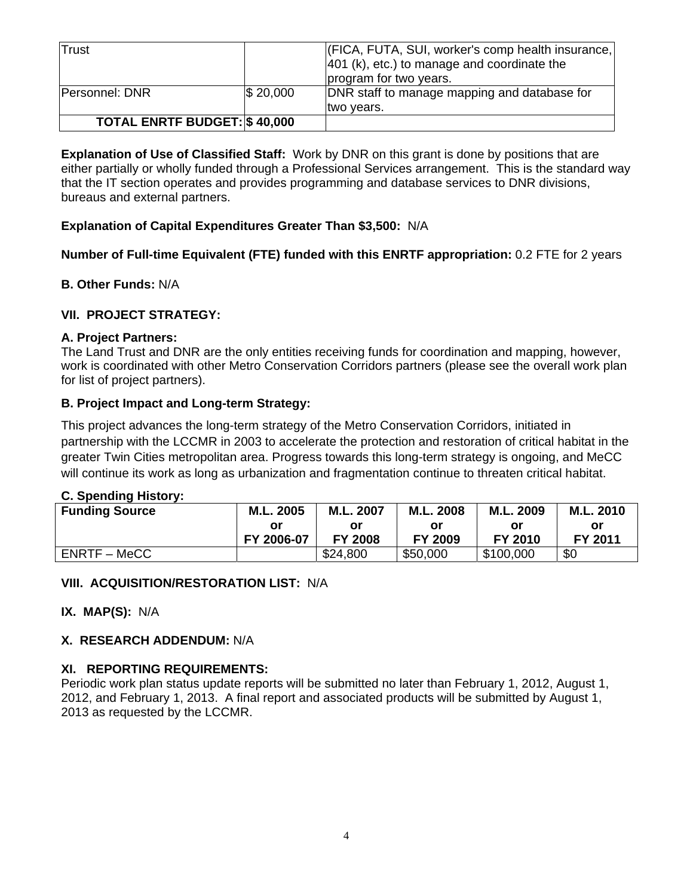| Trust                               |          | (FICA, FUTA, SUI, worker's comp health insurance,<br>$ 401$ (k), etc.) to manage and coordinate the<br>program for two years. |
|-------------------------------------|----------|-------------------------------------------------------------------------------------------------------------------------------|
| <b>Personnel: DNR</b>               | \$20,000 | DNR staff to manage mapping and database for<br>two years.                                                                    |
| <b>TOTAL ENRTF BUDGET: \$40,000</b> |          |                                                                                                                               |

**Explanation of Use of Classified Staff:** Work by DNR on this grant is done by positions that are either partially or wholly funded through a Professional Services arrangement. This is the standard way that the IT section operates and provides programming and database services to DNR divisions, bureaus and external partners.

# **Explanation of Capital Expenditures Greater Than \$3,500:** N/A

# **Number of Full-time Equivalent (FTE) funded with this ENRTF appropriation:** 0.2 FTE for 2 years

# **B. Other Funds:** N/A

# **VII. PROJECT STRATEGY:**

## **A. Project Partners:**

The Land Trust and DNR are the only entities receiving funds for coordination and mapping, however, work is coordinated with other Metro Conservation Corridors partners (please see the overall work plan for list of project partners).

## **B. Project Impact and Long-term Strategy:**

This project advances the long-term strategy of the Metro Conservation Corridors, initiated in partnership with the LCCMR in 2003 to accelerate the protection and restoration of critical habitat in the greater Twin Cities metropolitan area. Progress towards this long-term strategy is ongoing, and MeCC will continue its work as long as urbanization and fragmentation continue to threaten critical habitat.

## **C. Spending History:**

| <b>Funding Source</b> | M.L. 2005  | M.L. 2007      | M.L. 2008      | M.L. 2009 | M.L. 2010 |
|-----------------------|------------|----------------|----------------|-----------|-----------|
|                       | or         | Οľ             |                | Οľ        | or        |
|                       | FY 2006-07 | <b>FY 2008</b> | <b>FY 2009</b> | FY 2010   | FY 2011   |
| ENRTF – MeCC          |            | \$24,800       | \$50,000       | \$100,000 | \$0       |

## **VIII. ACQUISITION/RESTORATION LIST:** N/A

**IX. MAP(S):** N/A

## **X. RESEARCH ADDENDUM:** N/A

## **XI. REPORTING REQUIREMENTS:**

Periodic work plan status update reports will be submitted no later than February 1, 2012, August 1, 2012, and February 1, 2013. A final report and associated products will be submitted by August 1, 2013 as requested by the LCCMR.